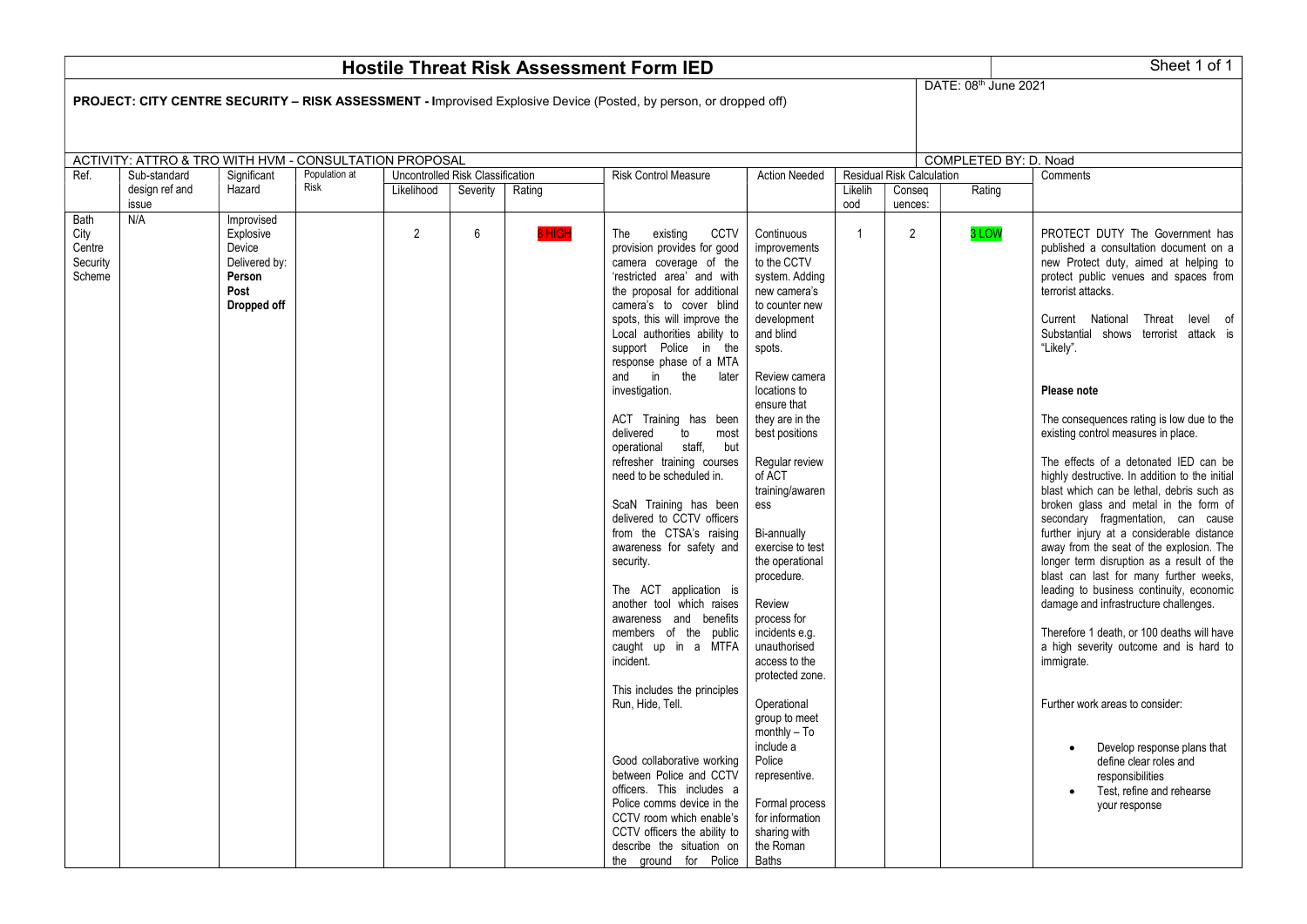| Sheet 1 of 1<br><b>Hostile Threat Risk Assessment Form IED</b>                                                                                   |                         |                                                                                     |               |                                         |          |        |                                                                                                                                                                                                                                                                                                                                                                                                                                                                                                                                                                                                                                                                                                                                                                                                                                                                                                                                                                                                                                    |                                                                                                                                                                                                                                                                                                                                                                                                                                                                                                                                                                                                               |                |                           |                       |                                                                                                                                                                                                                                                                                                                                                                                                                                                                                                                                                                                                                                                                                                                                                                                                                                                                                                                                                                                                                                                                                                                                                   |  |  |  |
|--------------------------------------------------------------------------------------------------------------------------------------------------|-------------------------|-------------------------------------------------------------------------------------|---------------|-----------------------------------------|----------|--------|------------------------------------------------------------------------------------------------------------------------------------------------------------------------------------------------------------------------------------------------------------------------------------------------------------------------------------------------------------------------------------------------------------------------------------------------------------------------------------------------------------------------------------------------------------------------------------------------------------------------------------------------------------------------------------------------------------------------------------------------------------------------------------------------------------------------------------------------------------------------------------------------------------------------------------------------------------------------------------------------------------------------------------|---------------------------------------------------------------------------------------------------------------------------------------------------------------------------------------------------------------------------------------------------------------------------------------------------------------------------------------------------------------------------------------------------------------------------------------------------------------------------------------------------------------------------------------------------------------------------------------------------------------|----------------|---------------------------|-----------------------|---------------------------------------------------------------------------------------------------------------------------------------------------------------------------------------------------------------------------------------------------------------------------------------------------------------------------------------------------------------------------------------------------------------------------------------------------------------------------------------------------------------------------------------------------------------------------------------------------------------------------------------------------------------------------------------------------------------------------------------------------------------------------------------------------------------------------------------------------------------------------------------------------------------------------------------------------------------------------------------------------------------------------------------------------------------------------------------------------------------------------------------------------|--|--|--|
| DATE: 08th June 2021<br><b>PROJECT: CITY CENTRE SECURITY – RISK ASSESSMENT - Improvised Explosive Device (Posted, by person, or dropped off)</b> |                         |                                                                                     |               |                                         |          |        |                                                                                                                                                                                                                                                                                                                                                                                                                                                                                                                                                                                                                                                                                                                                                                                                                                                                                                                                                                                                                                    |                                                                                                                                                                                                                                                                                                                                                                                                                                                                                                                                                                                                               |                |                           |                       |                                                                                                                                                                                                                                                                                                                                                                                                                                                                                                                                                                                                                                                                                                                                                                                                                                                                                                                                                                                                                                                                                                                                                   |  |  |  |
| ACTIVITY: ATTRO & TRO WITH HVM - CONSULTATION PROPOSAL                                                                                           |                         |                                                                                     |               |                                         |          |        |                                                                                                                                                                                                                                                                                                                                                                                                                                                                                                                                                                                                                                                                                                                                                                                                                                                                                                                                                                                                                                    |                                                                                                                                                                                                                                                                                                                                                                                                                                                                                                                                                                                                               |                |                           | COMPLETED BY: D. Noad |                                                                                                                                                                                                                                                                                                                                                                                                                                                                                                                                                                                                                                                                                                                                                                                                                                                                                                                                                                                                                                                                                                                                                   |  |  |  |
| Ref.                                                                                                                                             | Sub-standard            | Significant                                                                         | Population at | <b>Uncontrolled Risk Classification</b> |          |        | <b>Risk Control Measure</b>                                                                                                                                                                                                                                                                                                                                                                                                                                                                                                                                                                                                                                                                                                                                                                                                                                                                                                                                                                                                        | <b>Action Needed</b>                                                                                                                                                                                                                                                                                                                                                                                                                                                                                                                                                                                          |                | Residual Risk Calculation |                       | Comments                                                                                                                                                                                                                                                                                                                                                                                                                                                                                                                                                                                                                                                                                                                                                                                                                                                                                                                                                                                                                                                                                                                                          |  |  |  |
|                                                                                                                                                  | design ref and<br>issue | Hazard                                                                              | Risk          | Likelihood                              | Severity | Rating |                                                                                                                                                                                                                                                                                                                                                                                                                                                                                                                                                                                                                                                                                                                                                                                                                                                                                                                                                                                                                                    |                                                                                                                                                                                                                                                                                                                                                                                                                                                                                                                                                                                                               | Likelih<br>ood | Conseg<br>uences:         | Rating                |                                                                                                                                                                                                                                                                                                                                                                                                                                                                                                                                                                                                                                                                                                                                                                                                                                                                                                                                                                                                                                                                                                                                                   |  |  |  |
| Bath<br>City<br>Centre<br>Security<br>Scheme                                                                                                     | N/A                     | Improvised<br>Explosive<br>Device<br>Delivered by:<br>Person<br>Post<br>Dropped off |               | $\overline{2}$                          | 6        | 8 HIGH | <b>CCTV</b><br>The<br>existing<br>provision provides for good<br>camera coverage of the<br>'restricted area' and with<br>the proposal for additional<br>camera's to cover blind<br>spots, this will improve the<br>Local authorities ability to<br>support Police in the<br>response phase of a MTA<br>in the<br>and<br>later<br>investigation.<br>ACT Training has been<br>delivered<br>to<br>most<br>operational staff, but<br>refresher training courses<br>need to be scheduled in.<br>ScaN Training has been<br>delivered to CCTV officers<br>from the CTSA's raising<br>awareness for safety and<br>security.<br>The ACT application is<br>another tool which raises<br>awareness and benefits<br>members of the public<br>caught up in a MTFA<br>incident.<br>This includes the principles<br>Run, Hide, Tell.<br>Good collaborative working<br>between Police and CCTV<br>officers. This includes a<br>Police comms device in the<br>CCTV room which enable's<br>CCTV officers the ability to<br>describe the situation on | Continuous<br>improvements<br>to the CCTV<br>system. Adding<br>new camera's<br>to counter new<br>development<br>and blind<br>spots.<br>Review camera<br>locations to<br>ensure that<br>they are in the<br>best positions<br>Regular review<br>of ACT<br>training/awaren<br>ess<br>Bi-annually<br>exercise to test<br>the operational<br>procedure.<br>Review<br>process for<br>incidents e.g.<br>unauthorised<br>access to the<br>protected zone.<br>Operational<br>group to meet<br>$monthly - To$<br>include a<br>Police<br>representive.<br>Formal process<br>for information<br>sharing with<br>the Roman | $\overline{1}$ | $\overline{2}$            | 3 LOW                 | PROTECT DUTY The Government has<br>published a consultation document on a<br>new Protect duty, aimed at helping to<br>protect public venues and spaces from<br>terrorist attacks.<br>Current National<br>Threat level of<br>Substantial shows terrorist attack is<br>"Likely".<br>Please note<br>The consequences rating is low due to the<br>existing control measures in place.<br>The effects of a detonated IED can be<br>highly destructive. In addition to the initial<br>blast which can be lethal, debris such as<br>broken glass and metal in the form of<br>secondary fragmentation, can cause<br>further injury at a considerable distance<br>away from the seat of the explosion. The<br>longer term disruption as a result of the<br>blast can last for many further weeks,<br>leading to business continuity, economic<br>damage and infrastructure challenges.<br>Therefore 1 death, or 100 deaths will have<br>a high severity outcome and is hard to<br>immigrate.<br>Further work areas to consider:<br>Develop response plans that<br>define clear roles and<br>responsibilities<br>Test, refine and rehearse<br>your response |  |  |  |
|                                                                                                                                                  |                         |                                                                                     |               |                                         |          |        | the ground for Police                                                                                                                                                                                                                                                                                                                                                                                                                                                                                                                                                                                                                                                                                                                                                                                                                                                                                                                                                                                                              | Baths                                                                                                                                                                                                                                                                                                                                                                                                                                                                                                                                                                                                         |                |                           |                       |                                                                                                                                                                                                                                                                                                                                                                                                                                                                                                                                                                                                                                                                                                                                                                                                                                                                                                                                                                                                                                                                                                                                                   |  |  |  |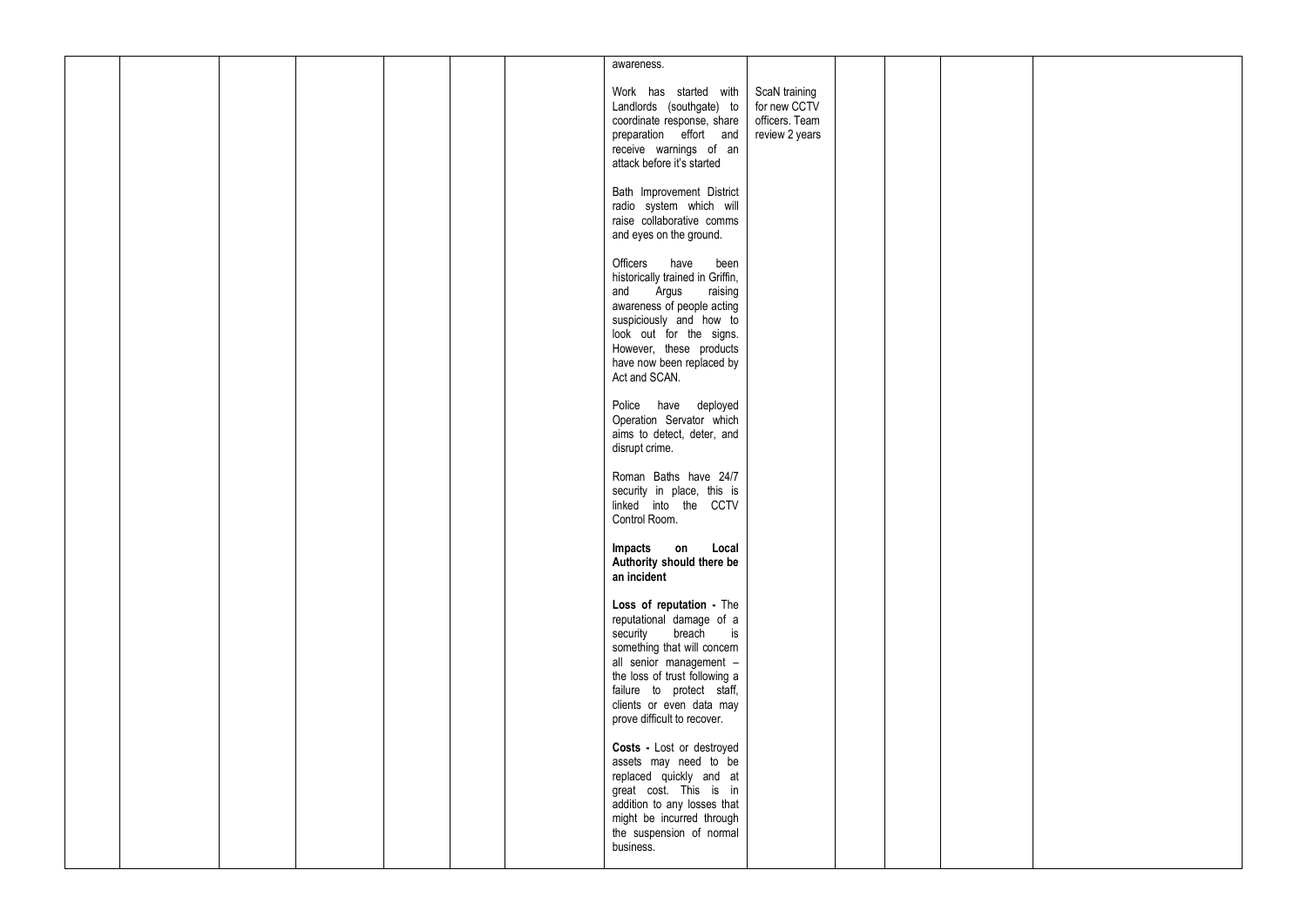|  |  |  | awareness.                                                |                                  |  |  |
|--|--|--|-----------------------------------------------------------|----------------------------------|--|--|
|  |  |  |                                                           |                                  |  |  |
|  |  |  | Work has started with<br>Landlords (southgate) to         | ScaN training<br>for new CCTV    |  |  |
|  |  |  | coordinate response, share<br>preparation effort and      | officers. Team<br>review 2 years |  |  |
|  |  |  | receive warnings of an                                    |                                  |  |  |
|  |  |  | attack before it's started                                |                                  |  |  |
|  |  |  | Bath Improvement District<br>radio system which will      |                                  |  |  |
|  |  |  | raise collaborative comms                                 |                                  |  |  |
|  |  |  | and eyes on the ground.                                   |                                  |  |  |
|  |  |  | Officers have<br>been<br>historically trained in Griffin, |                                  |  |  |
|  |  |  | and Argus<br>raising                                      |                                  |  |  |
|  |  |  | awareness of people acting<br>suspiciously and how to     |                                  |  |  |
|  |  |  | look out for the signs.<br>However, these products        |                                  |  |  |
|  |  |  | have now been replaced by                                 |                                  |  |  |
|  |  |  | Act and SCAN.                                             |                                  |  |  |
|  |  |  | Police have deployed<br>Operation Servator which          |                                  |  |  |
|  |  |  | aims to detect, deter, and                                |                                  |  |  |
|  |  |  | disrupt crime.                                            |                                  |  |  |
|  |  |  | Roman Baths have 24/7                                     |                                  |  |  |
|  |  |  | security in place, this is<br>linked into the CCTV        |                                  |  |  |
|  |  |  | Control Room.                                             |                                  |  |  |
|  |  |  | Local<br>Impacts on<br>Authority should there be          |                                  |  |  |
|  |  |  | an incident                                               |                                  |  |  |
|  |  |  | Loss of reputation - The                                  |                                  |  |  |
|  |  |  | reputational damage of a<br>security breach is            |                                  |  |  |
|  |  |  | something that will concern                               |                                  |  |  |
|  |  |  | all senior management -<br>the loss of trust following a  |                                  |  |  |
|  |  |  | failure to protect staff,<br>clients or even data may     |                                  |  |  |
|  |  |  | prove difficult to recover.                               |                                  |  |  |
|  |  |  | Costs - Lost or destroyed                                 |                                  |  |  |
|  |  |  | assets may need to be<br>replaced quickly and at          |                                  |  |  |
|  |  |  | great cost. This is in                                    |                                  |  |  |
|  |  |  | addition to any losses that<br>might be incurred through  |                                  |  |  |
|  |  |  | the suspension of normal                                  |                                  |  |  |
|  |  |  | business.                                                 |                                  |  |  |